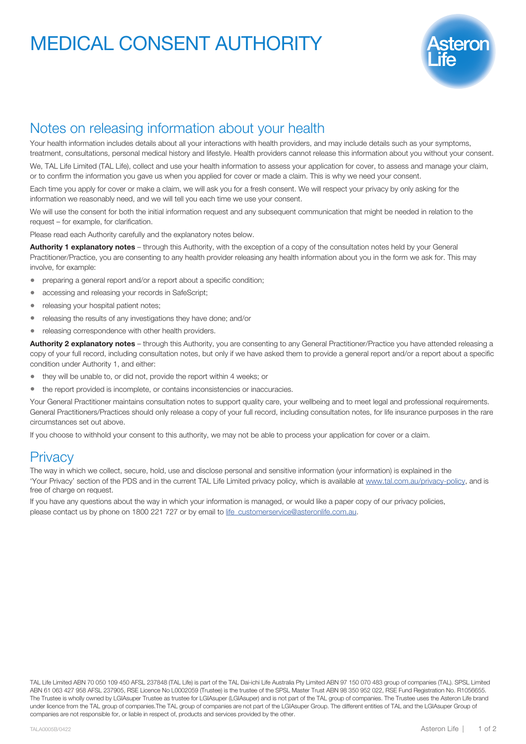# MEDICAL CONSENT AUTHORITY



### Notes on releasing information about your health

Your health information includes details about all your interactions with health providers, and may include details such as your symptoms, treatment, consultations, personal medical history and lifestyle. Health providers cannot release this information about you without your consent.

We, TAL Life Limited (TAL Life), collect and use your health information to assess your application for cover, to assess and manage your claim, or to confirm the information you gave us when you applied for cover or made a claim. This is why we need your consent.

Each time you apply for cover or make a claim, we will ask you for a fresh consent. We will respect your privacy by only asking for the information we reasonably need, and we will tell you each time we use your consent.

We will use the consent for both the initial information request and any subsequent communication that might be needed in relation to the request – for example, for clarification.

Please read each Authority carefully and the explanatory notes below.

Authority 1 explanatory notes – through this Authority, with the exception of a copy of the consultation notes held by your General Practitioner/Practice, you are consenting to any health provider releasing any health information about you in the form we ask for. This may involve, for example:

- preparing a general report and/or a report about a specific condition;
- accessing and releasing your records in SafeScript;
- releasing your hospital patient notes;
- releasing the results of any investigations they have done; and/or
- releasing correspondence with other health providers.

Authority 2 explanatory notes - through this Authority, you are consenting to any General Practitioner/Practice you have attended releasing a copy of your full record, including consultation notes, but only if we have asked them to provide a general report and/or a report about a specific condition under Authority 1, and either:

- they will be unable to, or did not, provide the report within 4 weeks; or
- the report provided is incomplete, or contains inconsistencies or inaccuracies.

Your General Practitioner maintains consultation notes to support quality care, your wellbeing and to meet legal and professional requirements. General Practitioners/Practices should only release a copy of your full record, including consultation notes, for life insurance purposes in the rare circumstances set out above.

If you choose to withhold your consent to this authority, we may not be able to process your application for cover or a claim.

### **Privacy**

The way in which we collect, secure, hold, use and disclose personal and sensitive information (your information) is explained in the 'Your Privacy' section of the PDS and in the current TAL Life Limited privacy policy, which is available at [www.tal.com.au/privacy-policy,](http://www.tal.com.au/privacy-policy) and is free of charge on request.

If you have any questions about the way in which your information is managed, or would like a paper copy of our privacy policies, please contact us by phone on 1800 221 727 or by email to [life\\_customerservice@asteronlife.com.au.](mailto:life_customerservice%40asteron.com.au?subject=)

TAL Life Limited ABN 70 050 109 450 AFSL 237848 (TAL Life) is part of the TAL Dai-ichi Life Australia Pty Limited ABN 97 150 070 483 group of companies (TAL). SPSL Limited ABN 61 063 427 958 AFSL 237905, RSE Licence No.L0002059 (Trustee) is the trustee of the SPSL Master Trust ABN 98 350 952 022, RSE Fund Registration No. R1056655. The Trustee is wholly owned by LGIAsuper Trustee as trustee for LGIAsuper (LGIAsuper) and is not part of the TAL group of companies. The Trustee uses the Asteron Life brand under licence from the TAL group of companies.The TAL group of companies are not part of the LGIAsuper Group. The different entities of TAL and the LGIAsuper Group of companies are not responsible for, or liable in respect of, products and services provided by the other.